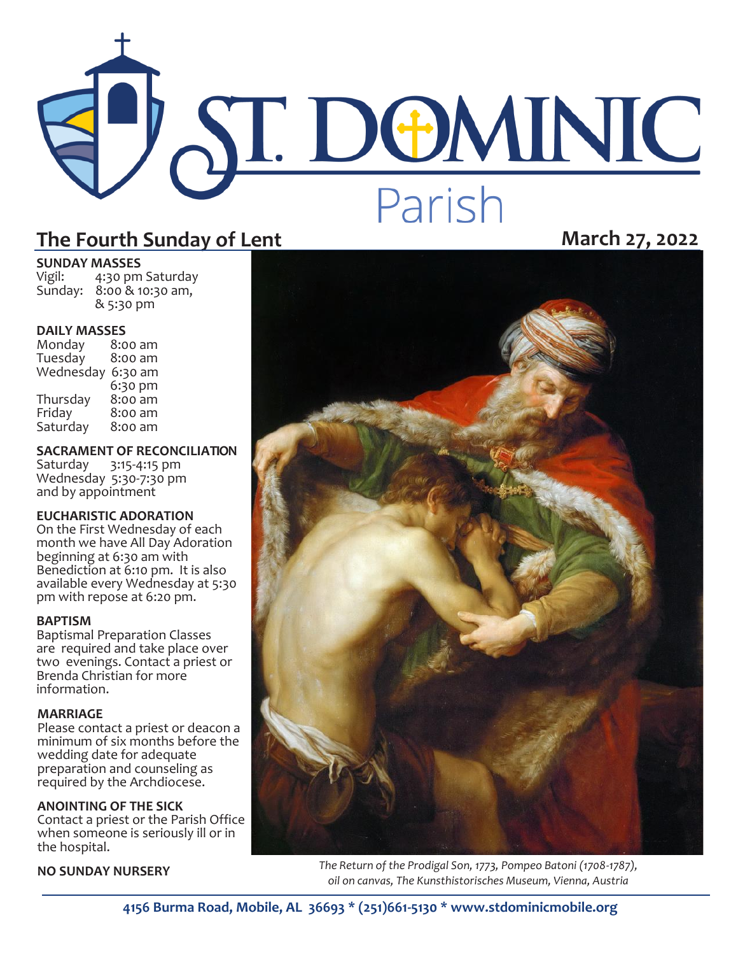# ST. DOMINIC Parish

#### The Fourth Sunday of Lent **March 27, 2022**

#### **SUNDAY MASSES**<br>Vigil: 4:30 pm

4:30 pm Saturday Sunday: 8:00 & 10:30 am, & 5:30 pm

#### **DAILY MASSES**

| Monday    | 8:00 am |
|-----------|---------|
| Tuesday   | 8:00 am |
| Wednesday | 6:30 am |
|           | 6:30 pm |
| Thursday  | 8:00 am |
| Friday    | 8:00 am |
| Saturday  | 8:00 am |

**SACRAMENT OF RECONCILIATION**

Saturday 3:15-4:15 pm Wednesday 5:30-7:30 pm and by appointment

#### **EUCHARISTIC ADORATION**

On the First Wednesday of each month we have All Day Adoration beginning at 6:30 am with Benediction at 6:10 pm. It is also available every Wednesday at 5:30 pm with repose at 6:20 pm.

#### **BAPTISM**

Baptismal Preparation Classes are required and take place over two evenings. Contact a priest or Brenda Christian for more information.

#### **MARRIAGE**

Please contact a priest or deacon a minimum of six months before the wedding date for adequate preparation and counseling as required by the Archdiocese.

#### **ANOINTING OF THE SICK**

Contact a priest or the Parish Office when someone is seriously ill or in the hospital.



**NO SUNDAY NURSERY** *The Return of the Prodigal Son, 1773, Pompeo Batoni (1708-1787), oil on canvas, The Kunsthistorisches Museum, Vienna, Austria* 

**4156 Burma Road, Mobile, AL 36693 \* (251)661-5130 \* www.stdominicmobile.org**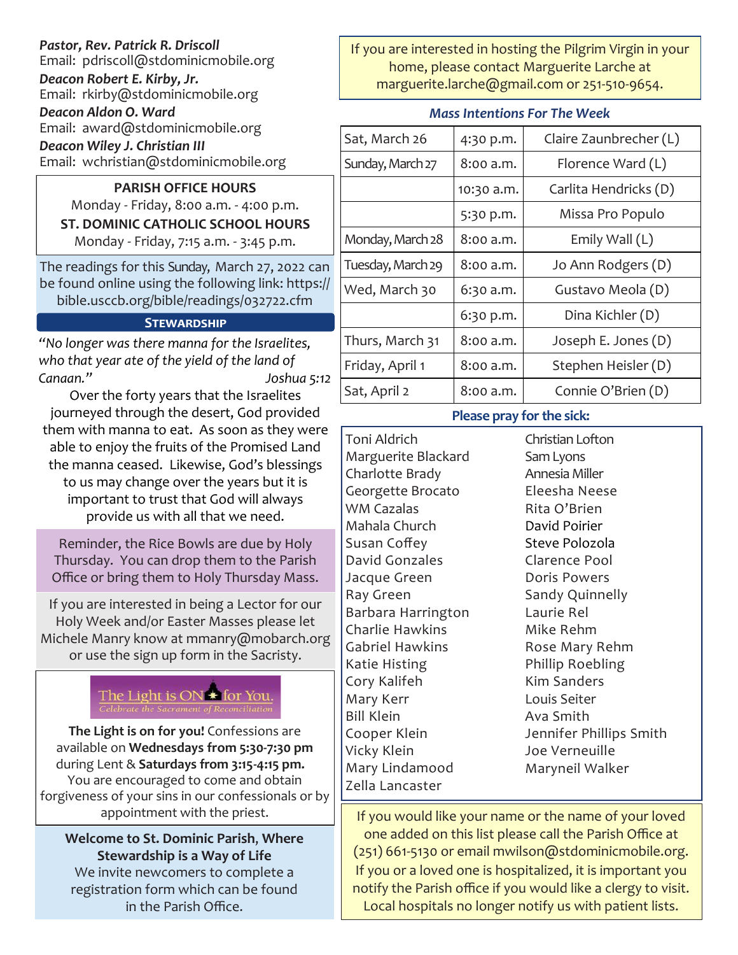#### *Pastor, Rev. Patrick R. Driscoll* Email: pdriscoll@stdominicmobile.org *Deacon Robert E. Kirby, Jr.* Email: rkirby@stdominicmobile.org

*Deacon Aldon O. Ward* Email: award@stdominicmobile.org

*Deacon Wiley J. Christian III*

Email: wchristian@stdominicmobile.org

#### **PARISH OFFICE HOURS** Monday - Friday, 8:00 a.m. - 4:00 p.m. **ST. DOMINIC CATHOLIC SCHOOL HOURS**  Monday - Friday, 7:15 a.m. - 3:45 p.m.

The readings for this Sunday, March 27, 2022 can be found online using the following link: https:// bible.usccb.org/bible/readings/032722.cfm

#### **Stewardship**

*"No longer was there manna for the Israelites, who that year ate of the yield of the land of Canaan." Joshua 5:12*

Over the forty years that the Israelites journeyed through the desert, God provided them with manna to eat. As soon as they were able to enjoy the fruits of the Promised Land the manna ceased. Likewise, God's blessings to us may change over the years but it is important to trust that God will always provide us with all that we need.

Reminder, the Rice Bowls are due by Holy Thursday. You can drop them to the Parish Office or bring them to Holy Thursday Mass.

If you are interested in being a Lector for our Holy Week and/or Easter Masses please let Michele Manry know at mmanry@mobarch.org or use the sign up form in the Sacristy.



**The Light is on for you!** Confessions are available on **Wednesdays from 5:30-7:30 pm**  during Lent & **Saturdays from 3:15-4:15 pm.** You are encouraged to come and obtain forgiveness of your sins in our confessionals or by

**Welcome to St. Dominic Parish**, **Where Stewardship is a Way of Life**  We invite newcomers to complete a registration form which can be found in the Parish Office.

If you are interested in hosting the Pilgrim Virgin in your home, please contact Marguerite Larche at marguerite.larche@gmail.com or 251-510-9654.

#### *Mass Intentions For The Week*

| Sat, March 26     | 4:30 p.m.  | Claire Zaunbrecher (L) |
|-------------------|------------|------------------------|
| Sunday, March 27  | 8:00 a.m.  | Florence Ward (L)      |
|                   | 10:30 a.m. | Carlita Hendricks (D)  |
|                   | 5:30 p.m.  | Missa Pro Populo       |
| Monday, March 28  | 8:00 a.m.  | Emily Wall $(L)$       |
| Tuesday, March 29 | 8:00 a.m.  | Jo Ann Rodgers (D)     |
| Wed, March 30     | 6:30 a.m.  | Gustavo Meola (D)      |
|                   | 6:30 p.m.  | Dina Kichler (D)       |
| Thurs, March 31   | 8:00 a.m.  | Joseph E. Jones $(D)$  |
| Friday, April 1   | 8:00 a.m.  | Stephen Heisler (D)    |
| Sat, April 2      | 8:00 a.m.  | Connie O'Brien (D)     |

#### **Please pray for the sick:**

Toni Aldrich Marguerite Blackard Charlotte Brady Georgette Brocato WM Cazalas Mahala Church Susan Coffey David Gonzales Jacque Green Ray Green Barbara Harrington Charlie Hawkins Gabriel Hawkins Katie Histing Cory Kalifeh Mary Kerr Bill Klein Cooper Klein Vicky Klein Mary Lindamood Zella Lancaster

Christian Lofton Sam Lyons Annesia Miller Eleesha Neese Rita O'Brien David Poirier Steve Polozola Clarence Pool Doris Powers Sandy Quinnelly Laurie Rel Mike Rehm Rose Mary Rehm Phillip Roebling Kim Sanders Louis Seiter Ava Smith Jennifer Phillips Smith Joe Verneuille Maryneil Walker

appointment with the priest.  $\frac{1}{1}$  If you would like your name or the name of your loved one added on this list please call the Parish Office at (251) 661-5130 or email mwilson@stdominicmobile.org. If you or a loved one is hospitalized, it is important you notify the Parish office if you would like a clergy to visit. Local hospitals no longer notify us with patient lists.